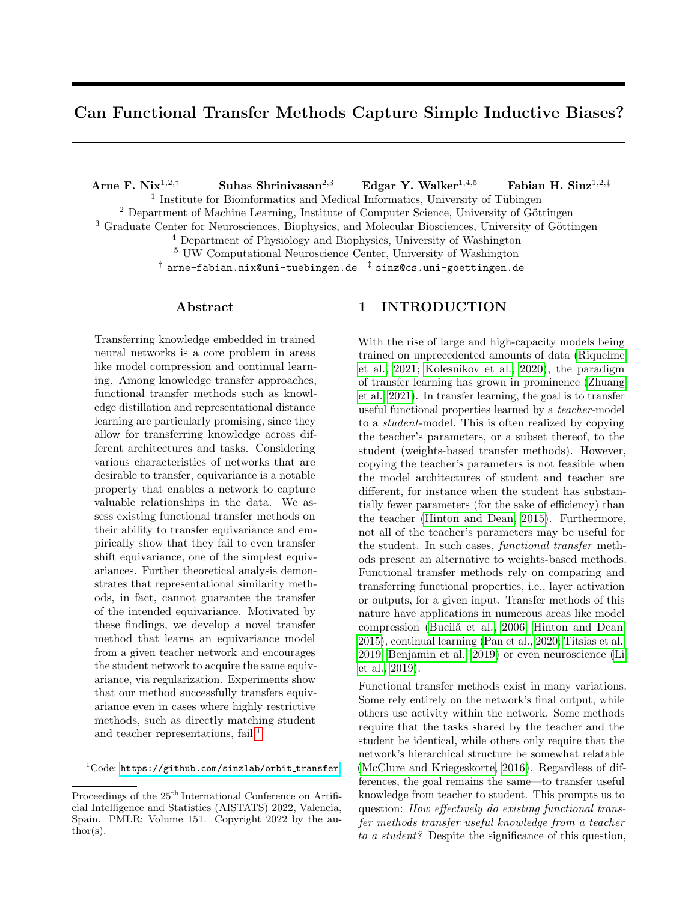# Can Functional Transfer Methods Capture Simple Inductive Biases?

Arne F. Nix<sup>1,2,†</sup> Suhas Shrinivasan<sup>2,3</sup> Edgar Y. Walker<sup>1,4,5</sup> Fabian H. Sinz<sup>1,2,‡</sup> <sup>1</sup> Institute for Bioinformatics and Medical Informatics, University of Tübingen

 $2$  Department of Machine Learning, Institute of Computer Science, University of Göttingen

 $3$  Graduate Center for Neurosciences, Biophysics, and Molecular Biosciences, University of Göttingen

<sup>4</sup> Department of Physiology and Biophysics, University of Washington

<sup>5</sup> UW Computational Neuroscience Center, University of Washington

 $\dagger$  arne-fabian.nix@uni-tuebingen.de  $\ddagger$  sinz@cs.uni-goettingen.de

# Abstract

Transferring knowledge embedded in trained neural networks is a core problem in areas like model compression and continual learning. Among knowledge transfer approaches, functional transfer methods such as knowledge distillation and representational distance learning are particularly promising, since they allow for transferring knowledge across different architectures and tasks. Considering various characteristics of networks that are desirable to transfer, equivariance is a notable property that enables a network to capture valuable relationships in the data. We assess existing functional transfer methods on their ability to transfer equivariance and empirically show that they fail to even transfer shift equivariance, one of the simplest equivariances. Further theoretical analysis demonstrates that representational similarity methods, in fact, cannot guarantee the transfer of the intended equivariance. Motivated by these findings, we develop a novel transfer method that learns an equivariance model from a given teacher network and encourages the student network to acquire the same equivariance, via regularization. Experiments show that our method successfully transfers equivariance even in cases where highly restrictive methods, such as directly matching student and teacher representations, fail.<sup>[1](#page-0-0)</sup>

# 1 INTRODUCTION

With the rise of large and high-capacity models being trained on unprecedented amounts of data [\(Riquelme](#page-10-0) [et al., 2021;](#page-10-0) [Kolesnikov et al., 2020\)](#page-9-0), the paradigm of transfer learning has grown in prominence [\(Zhuang](#page-10-1) [et al., 2021\)](#page-10-1). In transfer learning, the goal is to transfer useful functional properties learned by a teacher-model to a student-model. This is often realized by copying the teacher's parameters, or a subset thereof, to the student (weights-based transfer methods). However, copying the teacher's parameters is not feasible when the model architectures of student and teacher are different, for instance when the student has substantially fewer parameters (for the sake of efficiency) than the teacher [\(Hinton and Dean, 2015\)](#page-9-1). Furthermore, not all of the teacher's parameters may be useful for the student. In such cases, functional transfer methods present an alternative to weights-based methods. Functional transfer methods rely on comparing and transferring functional properties, i.e., layer activation or outputs, for a given input. Transfer methods of this nature have applications in numerous areas like model compression (Bucilǎ et al., 2006; [Hinton and Dean,](#page-9-1) [2015\)](#page-9-1), continual learning [\(Pan et al., 2020;](#page-10-2) [Titsias et al.,](#page-10-3) [2019;](#page-10-3) [Benjamin et al., 2019\)](#page-9-3) or even neuroscience [\(Li](#page-10-4) [et al., 2019\)](#page-10-4).

Functional transfer methods exist in many variations. Some rely entirely on the network's final output, while others use activity within the network. Some methods require that the tasks shared by the teacher and the student be identical, while others only require that the network's hierarchical structure be somewhat relatable [\(McClure and Kriegeskorte, 2016\)](#page-10-5). Regardless of differences, the goal remains the same—to transfer useful knowledge from teacher to student. This prompts us to question: How effectively do existing functional transfer methods transfer useful knowledge from a teacher to a student? Despite the significance of this question,

<span id="page-0-0"></span> $1$ Code: [https://github.com/sinzlab/orbit](https://github.com/sinzlab/orbit_transfer)\_transfer

Proceedings of the  $25<sup>th</sup>$  International Conference on Artificial Intelligence and Statistics (AISTATS) 2022, Valencia, Spain. PMLR: Volume 151. Copyright 2022 by the author(s).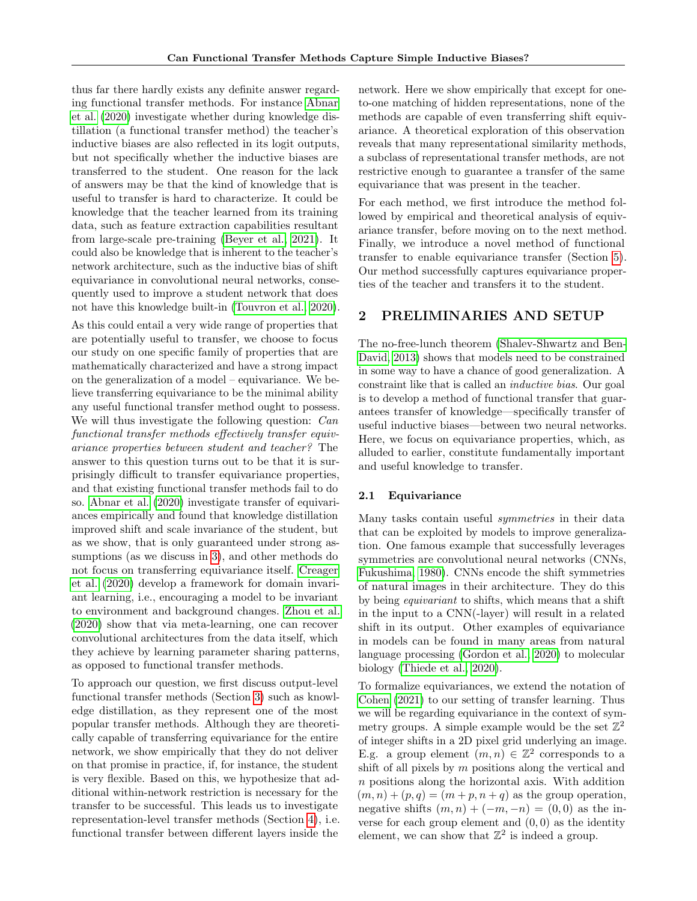thus far there hardly exists any definite answer regarding functional transfer methods. For instance [Abnar](#page-9-4) [et al.](#page-9-4) [\(2020\)](#page-9-4) investigate whether during knowledge distillation (a functional transfer method) the teacher's inductive biases are also reflected in its logit outputs, but not specifically whether the inductive biases are transferred to the student. One reason for the lack of answers may be that the kind of knowledge that is useful to transfer is hard to characterize. It could be knowledge that the teacher learned from its training data, such as feature extraction capabilities resultant from large-scale pre-training [\(Beyer et al., 2021\)](#page-9-5). It could also be knowledge that is inherent to the teacher's network architecture, such as the inductive bias of shift equivariance in convolutional neural networks, consequently used to improve a student network that does not have this knowledge built-in [\(Touvron et al., 2020\)](#page-10-6).

As this could entail a very wide range of properties that are potentially useful to transfer, we choose to focus our study on one specific family of properties that are mathematically characterized and have a strong impact on the generalization of a model – equivariance. We believe transferring equivariance to be the minimal ability any useful functional transfer method ought to possess. We will thus investigate the following question: *Can* functional transfer methods effectively transfer equivariance properties between student and teacher? The answer to this question turns out to be that it is surprisingly difficult to transfer equivariance properties, and that existing functional transfer methods fail to do so. [Abnar et al.](#page-9-4) [\(2020\)](#page-9-4) investigate transfer of equivariances empirically and found that knowledge distillation improved shift and scale invariance of the student, but as we show, that is only guaranteed under strong assumptions (as we discuss in [3\)](#page-3-0), and other methods do not focus on transferring equivariance itself. [Creager](#page-9-6) [et al.](#page-9-6) [\(2020\)](#page-9-6) develop a framework for domain invariant learning, i.e., encouraging a model to be invariant to environment and background changes. [Zhou et al.](#page-10-7) [\(2020\)](#page-10-7) show that via meta-learning, one can recover convolutional architectures from the data itself, which they achieve by learning parameter sharing patterns, as opposed to functional transfer methods.

To approach our question, we first discuss output-level functional transfer methods (Section [3\)](#page-3-0) such as knowledge distillation, as they represent one of the most popular transfer methods. Although they are theoretically capable of transferring equivariance for the entire network, we show empirically that they do not deliver on that promise in practice, if, for instance, the student is very flexible. Based on this, we hypothesize that additional within-network restriction is necessary for the transfer to be successful. This leads us to investigate representation-level transfer methods (Section [4\)](#page-3-1), i.e. functional transfer between different layers inside the network. Here we show empirically that except for oneto-one matching of hidden representations, none of the methods are capable of even transferring shift equivariance. A theoretical exploration of this observation reveals that many representational similarity methods, a subclass of representational transfer methods, are not restrictive enough to guarantee a transfer of the same equivariance that was present in the teacher.

For each method, we first introduce the method followed by empirical and theoretical analysis of equivariance transfer, before moving on to the next method. Finally, we introduce a novel method of functional transfer to enable equivariance transfer (Section [5\)](#page-5-0). Our method successfully captures equivariance properties of the teacher and transfers it to the student.

# <span id="page-1-0"></span>2 PRELIMINARIES AND SETUP

The no-free-lunch theorem [\(Shalev-Shwartz and Ben-](#page-10-8)[David, 2013\)](#page-10-8) shows that models need to be constrained in some way to have a chance of good generalization. A constraint like that is called an inductive bias. Our goal is to develop a method of functional transfer that guarantees transfer of knowledge—specifically transfer of useful inductive biases—between two neural networks. Here, we focus on equivariance properties, which, as alluded to earlier, constitute fundamentally important and useful knowledge to transfer.

# 2.1 Equivariance

Many tasks contain useful symmetries in their data that can be exploited by models to improve generalization. One famous example that successfully leverages symmetries are convolutional neural networks (CNNs, [Fukushima, 1980\)](#page-9-7). CNNs encode the shift symmetries of natural images in their architecture. They do this by being equivariant to shifts, which means that a shift in the input to a CNN(-layer) will result in a related shift in its output. Other examples of equivariance in models can be found in many areas from natural language processing [\(Gordon et al., 2020\)](#page-9-8) to molecular biology [\(Thiede et al., 2020\)](#page-10-9).

To formalize equivariances, we extend the notation of [Cohen](#page-9-9) [\(2021\)](#page-9-9) to our setting of transfer learning. Thus we will be regarding equivariance in the context of symmetry groups. A simple example would be the set  $\mathbb{Z}^2$ of integer shifts in a 2D pixel grid underlying an image. E.g. a group element  $(m, n) \in \mathbb{Z}^2$  corresponds to a shift of all pixels by  $m$  positions along the vertical and n positions along the horizontal axis. With addition  $(m, n) + (p, q) = (m + p, n + q)$  as the group operation, negative shifts  $(m, n) + (-m, -n) = (0, 0)$  as the inverse for each group element and  $(0, 0)$  as the identity element, we can show that  $\mathbb{Z}^2$  is indeed a group.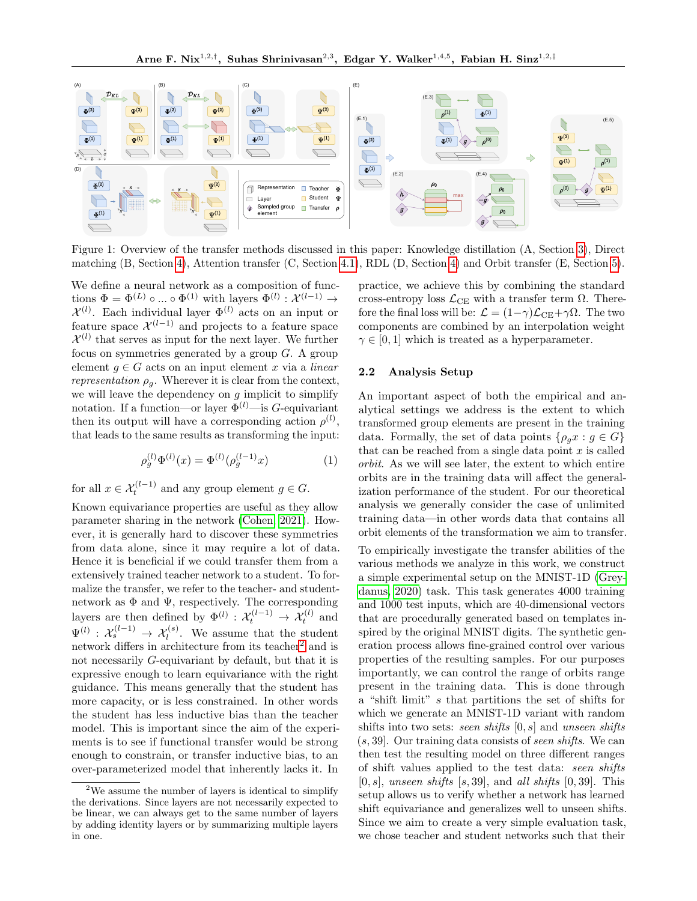<span id="page-2-1"></span>

Figure 1: Overview of the transfer methods discussed in this paper: Knowledge distillation (A, Section [3\)](#page-3-0), Direct matching (B, Section [4\)](#page-3-1), Attention transfer (C, Section [4.1\)](#page-4-0), RDL (D, Section [4\)](#page-3-1) and Orbit transfer (E, Section [5\)](#page-5-0).

We define a neural network as a composition of functions  $\Phi = \Phi^{(L)} \circ ... \circ \Phi^{(1)}$  with layers  $\Phi^{(l)} : \mathcal{X}^{(l-1)} \to$  $\mathcal{X}^{(l)}$ . Each individual layer  $\Phi^{(l)}$  acts on an input or feature space  $\mathcal{X}^{(l-1)}$  and projects to a feature space  $\mathcal{X}^{(l)}$  that serves as input for the next layer. We further focus on symmetries generated by a group  $G$ . A group element  $g \in G$  acts on an input element x via a linear representation  $\rho_q$ . Wherever it is clear from the context, we will leave the dependency on  $g$  implicit to simplify notation. If a function—or layer  $\Phi^{(l)}$ —is G-equivariant then its output will have a corresponding action  $\rho^{(l)}$ , that leads to the same results as transforming the input:

$$
\rho_g^{(l)} \Phi^{(l)}(x) = \Phi^{(l)} (\rho_g^{(l-1)} x)
$$
\n(1)

for all  $x \in \mathcal{X}_t^{(l-1)}$  and any group element  $g \in G$ .

Known equivariance properties are useful as they allow parameter sharing in the network [\(Cohen, 2021\)](#page-9-9). However, it is generally hard to discover these symmetries from data alone, since it may require a lot of data. Hence it is beneficial if we could transfer them from a extensively trained teacher network to a student. To formalize the transfer, we refer to the teacher- and studentnetwork as  $\Phi$  and  $\Psi$ , respectively. The corresponding layers are then defined by  $\Phi^{(l)} : \mathcal{X}_t^{(l-1)} \to \mathcal{X}_t^{(l)}$  and  $\Psi^{(l)}: \mathcal{X}_s^{(l-1)} \to \mathcal{X}_l^{(s)}$ . We assume that the student network differs in architecture from its teacher<sup>[2](#page-2-0)</sup> and is not necessarily G-equivariant by default, but that it is expressive enough to learn equivariance with the right guidance. This means generally that the student has more capacity, or is less constrained. In other words the student has less inductive bias than the teacher model. This is important since the aim of the experiments is to see if functional transfer would be strong enough to constrain, or transfer inductive bias, to an over-parameterized model that inherently lacks it. In practice, we achieve this by combining the standard cross-entropy loss  $\mathcal{L}_{CE}$  with a transfer term  $\Omega$ . Therefore the final loss will be:  $\mathcal{L} = (1 - \gamma)\mathcal{L}_{\text{CE}} + \gamma\Omega$ . The two components are combined by an interpolation weight  $\gamma \in [0, 1]$  which is treated as a hyperparameter.

#### 2.2 Analysis Setup

An important aspect of both the empirical and analytical settings we address is the extent to which transformed group elements are present in the training data. Formally, the set of data points  $\{\rho_q x : g \in G\}$ that can be reached from a single data point  $x$  is called orbit. As we will see later, the extent to which entire orbits are in the training data will affect the generalization performance of the student. For our theoretical analysis we generally consider the case of unlimited training data—in other words data that contains all orbit elements of the transformation we aim to transfer.

To empirically investigate the transfer abilities of the various methods we analyze in this work, we construct a simple experimental setup on the MNIST-1D [\(Grey](#page-9-10)[danus, 2020\)](#page-9-10) task. This task generates 4000 training and 1000 test inputs, which are 40-dimensional vectors that are procedurally generated based on templates inspired by the original MNIST digits. The synthetic generation process allows fine-grained control over various properties of the resulting samples. For our purposes importantly, we can control the range of orbits range present in the training data. This is done through a "shift limit" s that partitions the set of shifts for which we generate an MNIST-1D variant with random shifts into two sets: seen shifts  $[0, s]$  and unseen shifts  $(s, 39)$ . Our training data consists of seen shifts. We can then test the resulting model on three different ranges of shift values applied to the test data: seen shifts  $[0, s]$ , unseen shifts  $[s, 39]$ , and all shifts  $[0, 39]$ . This setup allows us to verify whether a network has learned shift equivariance and generalizes well to unseen shifts. Since we aim to create a very simple evaluation task, we chose teacher and student networks such that their

<span id="page-2-0"></span><sup>&</sup>lt;sup>2</sup>We assume the number of layers is identical to simplify the derivations. Since layers are not necessarily expected to be linear, we can always get to the same number of layers by adding identity layers or by summarizing multiple layers in one.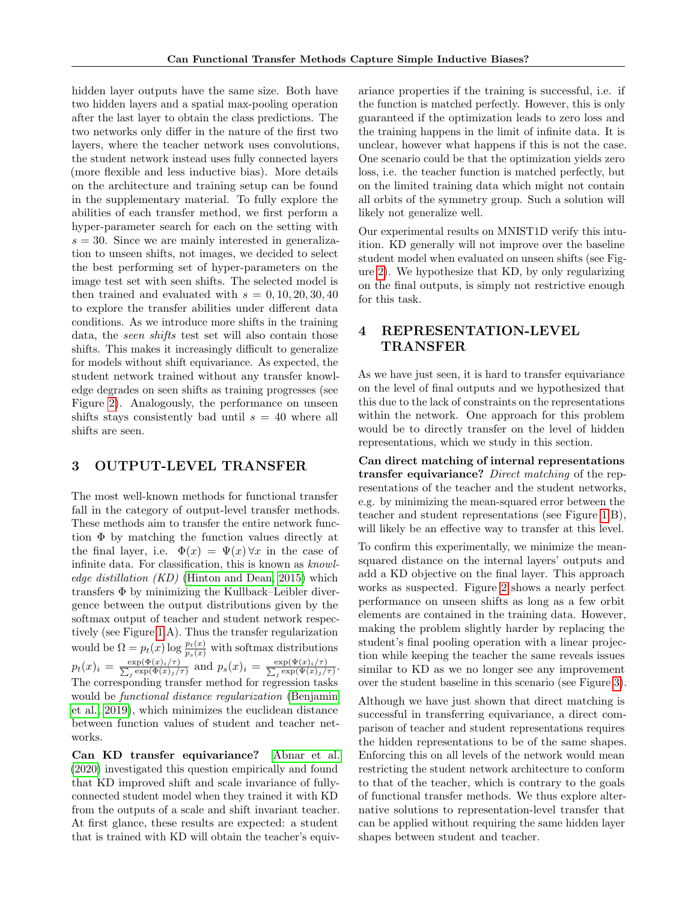hidden layer outputs have the same size. Both have two hidden layers and a spatial max-pooling operation after the last layer to obtain the class predictions. The two networks only differ in the nature of the first two layers, where the teacher network uses convolutions, the student network instead uses fully connected layers (more flexible and less inductive bias). More details on the architecture and training setup can be found in the supplementary material. To fully explore the abilities of each transfer method, we first perform a hyper-parameter search for each on the setting with  $s = 30$ . Since we are mainly interested in generalization to unseen shifts, not images, we decided to select the best performing set of hyper-parameters on the image test set with seen shifts. The selected model is then trained and evaluated with  $s = 0, 10, 20, 30, 40$ to explore the transfer abilities under different data conditions. As we introduce more shifts in the training data, the *seen shifts* test set will also contain those shifts. This makes it increasingly difficult to generalize for models without shift equivariance. As expected, the student network trained without any transfer knowledge degrades on seen shifts as training progresses (see Figure [2\)](#page-4-1). Analogously, the performance on unseen shifts stays consistently bad until  $s = 40$  where all shifts are seen.

# <span id="page-3-0"></span>3 OUTPUT-LEVEL TRANSFER

The most well-known methods for functional transfer fall in the category of output-level transfer methods. These methods aim to transfer the entire network function Φ by matching the function values directly at the final layer, i.e.  $\Phi(x) = \Psi(x) \forall x$  in the case of infinite data. For classification, this is known as knowledge distillation  $(KD)$  [\(Hinton and Dean, 2015\)](#page-9-1) which transfers Φ by minimizing the Kullback–Leibler divergence between the output distributions given by the softmax output of teacher and student network respectively (see Figure [1.](#page-2-1)A). Thus the transfer regularization would be  $\Omega = p_t(x) \log \frac{p_t(x)}{p_s(x)}$  with softmax distributions  $p_t(x)_i = \frac{\exp(\Phi(x)_i/\tau)}{\sum_i \exp(\Phi(x)_i/\tau)}$  $\frac{\exp(\Phi(x)_i/\tau)}{p_j\exp(\Phi(x)_j/\tau)}$  and  $p_s(x)_i = \frac{\exp(\Psi(x)_i/\tau)}{\sum_j \exp(\Psi(x)_j/\tau)}$  $\frac{\exp(\Psi(x)_i/\tau)}{\exp(\Psi(x)_j/\tau)}$ . The corresponding transfer method for regression tasks would be functional distance regularization [\(Benjamin](#page-9-3) [et al., 2019\)](#page-9-3), which minimizes the euclidean distance between function values of student and teacher networks.

Can KD transfer equivariance? [Abnar et al.](#page-9-4) [\(2020\)](#page-9-4) investigated this question empirically and found that KD improved shift and scale invariance of fullyconnected student model when they trained it with KD from the outputs of a scale and shift invariant teacher. At first glance, these results are expected: a student that is trained with KD will obtain the teacher's equivariance properties if the training is successful, i.e. if the function is matched perfectly. However, this is only guaranteed if the optimization leads to zero loss and the training happens in the limit of infinite data. It is unclear, however what happens if this is not the case. One scenario could be that the optimization yields zero loss, i.e. the teacher function is matched perfectly, but on the limited training data which might not contain all orbits of the symmetry group. Such a solution will likely not generalize well.

Our experimental results on MNIST1D verify this intuition. KD generally will not improve over the baseline student model when evaluated on unseen shifts (see Figure [2\)](#page-4-1). We hypothesize that KD, by only regularizing on the final outputs, is simply not restrictive enough for this task.

# <span id="page-3-1"></span>4 REPRESENTATION-LEVEL TRANSFER

As we have just seen, it is hard to transfer equivariance on the level of final outputs and we hypothesized that this due to the lack of constraints on the representations within the network. One approach for this problem would be to directly transfer on the level of hidden representations, which we study in this section.

Can direct matching of internal representations transfer equivariance? Direct matching of the representations of the teacher and the student networks, e.g. by minimizing the mean-squared error between the teacher and student representations (see Figure [1.](#page-2-1)B), will likely be an effective way to transfer at this level.

To confirm this experimentally, we minimize the meansquared distance on the internal layers' outputs and add a KD objective on the final layer. This approach works as suspected. Figure [2](#page-4-1) shows a nearly perfect performance on unseen shifts as long as a few orbit elements are contained in the training data. However, making the problem slightly harder by replacing the student's final pooling operation with a linear projection while keeping the teacher the same reveals issues similar to KD as we no longer see any improvement over the student baseline in this scenario (see Figure [3\)](#page-4-2).

Although we have just shown that direct matching is successful in transferring equivariance, a direct comparison of teacher and student representations requires the hidden representations to be of the same shapes. Enforcing this on all levels of the network would mean restricting the student network architecture to conform to that of the teacher, which is contrary to the goals of functional transfer methods. We thus explore alternative solutions to representation-level transfer that can be applied without requiring the same hidden layer shapes between student and teacher.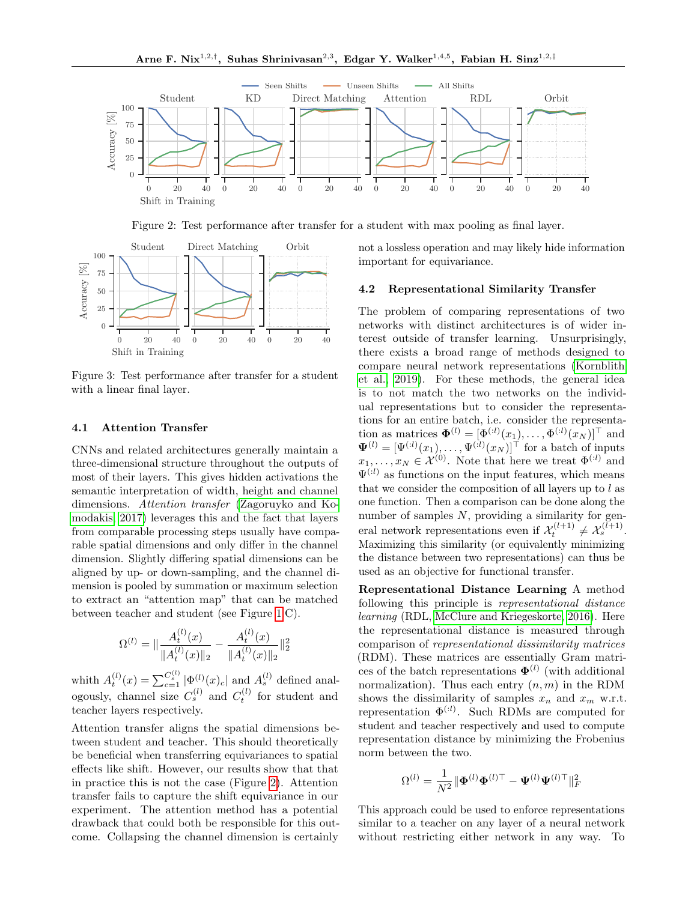<span id="page-4-1"></span>

Figure 2: Test performance after transfer for a student with max pooling as final layer.

<span id="page-4-2"></span>

Figure 3: Test performance after transfer for a student with a linear final layer.

#### <span id="page-4-0"></span>4.1 Attention Transfer

CNNs and related architectures generally maintain a three-dimensional structure throughout the outputs of most of their layers. This gives hidden activations the semantic interpretation of width, height and channel dimensions. Attention transfer [\(Zagoruyko and Ko](#page-10-10)[modakis, 2017\)](#page-10-10) leverages this and the fact that layers from comparable processing steps usually have comparable spatial dimensions and only differ in the channel dimension. Slightly differing spatial dimensions can be aligned by up- or down-sampling, and the channel dimension is pooled by summation or maximum selection to extract an "attention map" that can be matched between teacher and student (see Figure [1.](#page-2-1)C).

$$
\Omega^{(l)} = \|\frac{A_t^{(l)}(x)}{\|A_t^{(l)}(x)\|_2} - \frac{A_t^{(l)}(x)}{\|A_t^{(l)}(x)\|_2}\|_2^2
$$

whith  $A_t^{(l)}(x) = \sum_{c=1}^{C_s^{(l)}} |\Phi_l^{(l)}(x)_c|$  and  $A_s^{(l)}$  defined analogously, channel size  $C_s^{(l)}$  and  $C_t^{(l)}$  for student and teacher layers respectively.

Attention transfer aligns the spatial dimensions between student and teacher. This should theoretically be beneficial when transferring equivariances to spatial effects like shift. However, our results show that that in practice this is not the case (Figure [2\)](#page-4-1). Attention transfer fails to capture the shift equivariance in our experiment. The attention method has a potential drawback that could both be responsible for this outcome. Collapsing the channel dimension is certainly not a lossless operation and may likely hide information important for equivariance.

#### 4.2 Representational Similarity Transfer

The problem of comparing representations of two networks with distinct architectures is of wider interest outside of transfer learning. Unsurprisingly, there exists a broad range of methods designed to compare neural network representations [\(Kornblith](#page-9-11) [et al., 2019\)](#page-9-11). For these methods, the general idea is to not match the two networks on the individual representations but to consider the representations for an entire batch, i.e. consider the representation as matrices  $\mathbf{\Phi}^{(l)} = [\Phi^{(l)}(x_1), \dots, \Phi^{(l)}(x_N)]^{\top}$  and  $\Psi^{(l)} = [\Psi^{(l)}(x_1), \dots, \Psi^{(l)}(x_N)]^{\top}$  for a batch of inputs  $x_1, \ldots, x_N \in \mathcal{X}^{(0)}$ . Note that here we treat  $\Phi^{(i)}$  and  $\Psi^{(i)}$  as functions on the input features, which means that we consider the composition of all layers up to  $l$  as one function. Then a comparison can be done along the number of samples  $N$ , providing a similarity for general network representations even if  $\mathcal{X}_t^{(l+1)} \neq \mathcal{X}_s^{(l+1)}$ . Maximizing this similarity (or equivalently minimizing the distance between two representations) can thus be used as an objective for functional transfer.

Representational Distance Learning A method following this principle is representational distance learning (RDL, [McClure and Kriegeskorte, 2016\)](#page-10-5). Here the representational distance is measured through comparison of representational dissimilarity matrices (RDM). These matrices are essentially Gram matrices of the batch representations  $\mathbf{\Phi}^{(l)}$  (with additional normalization). Thus each entry  $(n, m)$  in the RDM shows the dissimilarity of samples  $x_n$  and  $x_m$  w.r.t. representation  $\Phi^{(i)}$ . Such RDMs are computed for student and teacher respectively and used to compute representation distance by minimizing the Frobenius norm between the two.

$$
\Omega^{(l)} = \frac{1}{N^2} \|\mathbf{\Phi}^{(l)}\mathbf{\Phi}^{(l)\top} - \mathbf{\Psi}^{(l)}\mathbf{\Psi}^{(l)\top}\|_F^2
$$

This approach could be used to enforce representations similar to a teacher on any layer of a neural network without restricting either network in any way. To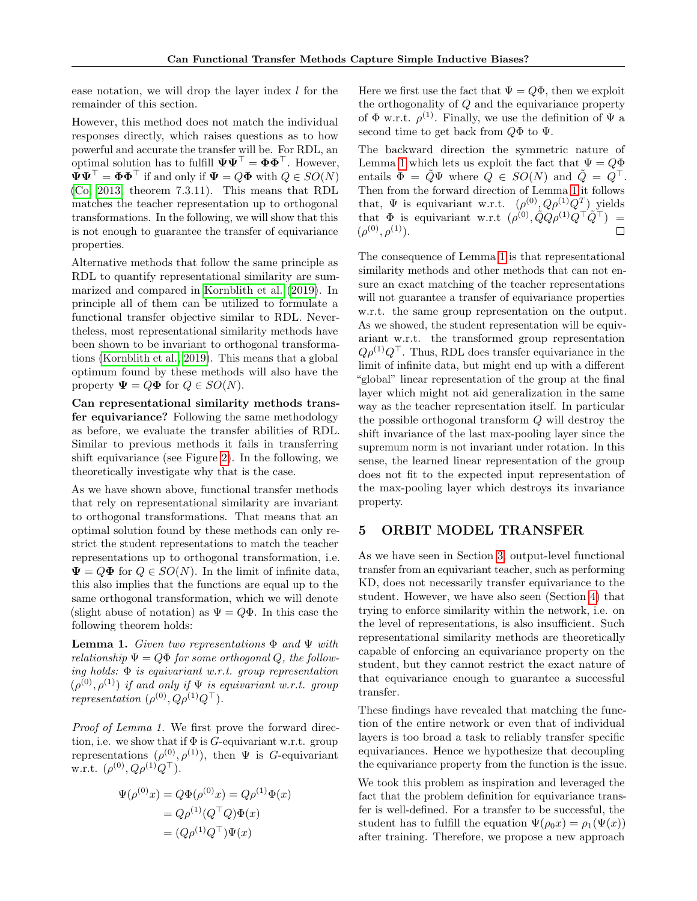ease notation, we will drop the layer index  $l$  for the remainder of this section.

However, this method does not match the individual responses directly, which raises questions as to how powerful and accurate the transfer will be. For RDL, an optimal solution has to fulfill  $\Psi \Psi^{\top} = \Phi \Phi^{\top}$ . However,  $\Psi \Psi^{\top} = \Phi \Phi^{\top}$  if and only if  $\Psi = Q\Phi$  with  $Q \in SO(N)$ [\(Co, 2013,](#page-9-12) theorem 7.3.11). This means that RDL matches the teacher representation up to orthogonal transformations. In the following, we will show that this is not enough to guarantee the transfer of equivariance properties.

Alternative methods that follow the same principle as RDL to quantify representational similarity are summarized and compared in [Kornblith et al.](#page-9-11) [\(2019\)](#page-9-11). In principle all of them can be utilized to formulate a functional transfer objective similar to RDL. Nevertheless, most representational similarity methods have been shown to be invariant to orthogonal transformations [\(Kornblith et al., 2019\)](#page-9-11). This means that a global optimum found by these methods will also have the property  $\Psi = Q\Phi$  for  $Q \in SO(N)$ .

Can representational similarity methods transfer equivariance? Following the same methodology as before, we evaluate the transfer abilities of RDL. Similar to previous methods it fails in transferring shift equivariance (see Figure [2\)](#page-4-1). In the following, we theoretically investigate why that is the case.

As we have shown above, functional transfer methods that rely on representational similarity are invariant to orthogonal transformations. That means that an optimal solution found by these methods can only restrict the student representations to match the teacher representations up to orthogonal transformation, i.e.  $\Psi = Q\Phi$  for  $Q \in SO(N)$ . In the limit of infinite data, this also implies that the functions are equal up to the same orthogonal transformation, which we will denote (slight abuse of notation) as  $\Psi = Q\Phi$ . In this case the following theorem holds:

<span id="page-5-1"></span>**Lemma 1.** Given two representations  $\Phi$  and  $\Psi$  with relationship  $\Psi = Q\Phi$  for some orthogonal Q, the following holds:  $\Phi$  is equivariant w.r.t. group representation  $(\rho^{(0)}, \rho^{(1)})$  if and only if  $\Psi$  is equivariant w.r.t. group representation  $(\rho^{(0)}, Q\rho^{(1)}Q^{\top}).$ 

Proof of Lemma 1. We first prove the forward direction, i.e. we show that if  $\Phi$  is *G*-equivariant w.r.t. group representations  $(\rho^{(0)}, \rho^{(1)})$ , then  $\Psi$  is G-equivariant w.r.t.  $(\rho^{(0)}, Q\rho^{(1)}Q^{\top}).$ 

$$
\Psi(\rho^{(0)}x) = Q\Phi(\rho^{(0)}x) = Q\rho^{(1)}\Phi(x)
$$

$$
= Q\rho^{(1)}(Q^{\top}Q)\Phi(x)
$$

$$
= (Q\rho^{(1)}Q^{\top})\Psi(x)
$$

Here we first use the fact that  $\Psi = Q\Phi$ , then we exploit the orthogonality of Q and the equivariance property of  $\Phi$  w.r.t.  $\rho^{(1)}$ . Finally, we use the definition of  $\Psi$  a second time to get back from  $Q\Phi$  to  $\Psi$ .

The backward direction the symmetric nature of Lemma [1](#page-5-1) which lets us exploit the fact that  $\Psi = Q\Phi$ entails  $\Phi = \hat{Q}\Psi$  where  $Q \in SO(N)$  and  $\hat{Q} = Q^{\top}$ . Then from the forward direction of Lemma [1](#page-5-1) it follows that,  $\Psi$  is equivariant w.r.t.  $(\rho^{(0)}, Q\rho^{(1)}Q^T)$  yields that  $\Phi$  is equivariant w.r.t  $(\rho^{(0)}, \tilde{Q}Q\rho^{(1)}Q^\top \tilde{Q}^\top) =$  $(\rho^{(0)}, \rho^{(1)})$ .  $\Box$ 

The consequence of Lemma [1](#page-5-1) is that representational similarity methods and other methods that can not ensure an exact matching of the teacher representations will not guarantee a transfer of equivariance properties w.r.t. the same group representation on the output. As we showed, the student representation will be equivariant w.r.t. the transformed group representation  $Q\rho^{(1)}Q^{\top}$ . Thus, RDL does transfer equivariance in the limit of infinite data, but might end up with a different "global" linear representation of the group at the final layer which might not aid generalization in the same way as the teacher representation itself. In particular the possible orthogonal transform Q will destroy the shift invariance of the last max-pooling layer since the supremum norm is not invariant under rotation. In this sense, the learned linear representation of the group does not fit to the expected input representation of the max-pooling layer which destroys its invariance property.

# <span id="page-5-0"></span>5 ORBIT MODEL TRANSFER

As we have seen in Section [3,](#page-3-0) output-level functional transfer from an equivariant teacher, such as performing KD, does not necessarily transfer equivariance to the student. However, we have also seen (Section [4\)](#page-3-1) that trying to enforce similarity within the network, i.e. on the level of representations, is also insufficient. Such representational similarity methods are theoretically capable of enforcing an equivariance property on the student, but they cannot restrict the exact nature of that equivariance enough to guarantee a successful transfer.

These findings have revealed that matching the function of the entire network or even that of individual layers is too broad a task to reliably transfer specific equivariances. Hence we hypothesize that decoupling the equivariance property from the function is the issue.

We took this problem as inspiration and leveraged the fact that the problem definition for equivariance transfer is well-defined. For a transfer to be successful, the student has to fulfill the equation  $\Psi(\rho_0 x) = \rho_1(\Psi(x))$ after training. Therefore, we propose a new approach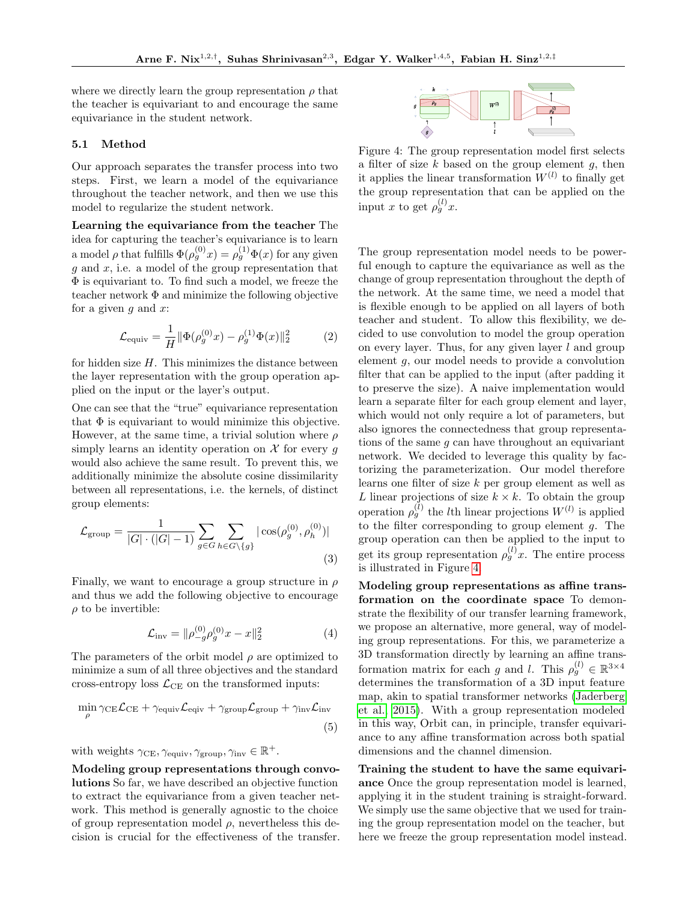where we directly learn the group representation  $\rho$  that the teacher is equivariant to and encourage the same equivariance in the student network.

### 5.1 Method

Our approach separates the transfer process into two steps. First, we learn a model of the equivariance throughout the teacher network, and then we use this model to regularize the student network.

Learning the equivariance from the teacher The idea for capturing the teacher's equivariance is to learn a model  $\rho$  that fulfills  $\Phi(\rho_g^{(0)}x) = \rho_g^{(1)}\Phi(x)$  for any given q and  $x$ , i.e. a model of the group representation that Φ is equivariant to. To find such a model, we freeze the teacher network Φ and minimize the following objective for a given q and  $x$ :

$$
\mathcal{L}_{\text{equiv}} = \frac{1}{H} \|\Phi(\rho_g^{(0)} x) - \rho_g^{(1)} \Phi(x)\|_2^2 \tag{2}
$$

for hidden size  $H$ . This minimizes the distance between the layer representation with the group operation applied on the input or the layer's output.

One can see that the "true" equivariance representation that  $\Phi$  is equivariant to would minimize this objective. However, at the same time, a trivial solution where  $\rho$ simply learns an identity operation on  $\mathcal X$  for every g would also achieve the same result. To prevent this, we additionally minimize the absolute cosine dissimilarity between all representations, i.e. the kernels, of distinct group elements:

$$
\mathcal{L}_{\text{group}} = \frac{1}{|G| \cdot (|G| - 1)} \sum_{g \in G} \sum_{h \in G \setminus \{g\}} |\cos(\rho_g^{(0)}, \rho_h^{(0)})|
$$
\n(3)

Finally, we want to encourage a group structure in  $\rho$ and thus we add the following objective to encourage  $\rho$  to be invertible:

$$
\mathcal{L}_{\text{inv}} = \|\rho_{-g}^{(0)}\rho_g^{(0)}x - x\|_2^2 \tag{4}
$$

The parameters of the orbit model  $\rho$  are optimized to minimize a sum of all three objectives and the standard cross-entropy loss  $\mathcal{L}_{CE}$  on the transformed inputs:

$$
\min_{\rho} \gamma_{\text{CE}} \mathcal{L}_{\text{CE}} + \gamma_{\text{equiv}} \mathcal{L}_{\text{equiv}} + \gamma_{\text{group}} \mathcal{L}_{\text{group}} + \gamma_{\text{inv}} \mathcal{L}_{\text{inv}} \tag{5}
$$

with weights  $\gamma_{\text{CE}}, \gamma_{\text{equiv}}, \gamma_{\text{group}}, \gamma_{\text{inv}} \in \mathbb{R}^+.$ 

Modeling group representations through convolutions So far, we have described an objective function to extract the equivariance from a given teacher network. This method is generally agnostic to the choice of group representation model  $\rho$ , nevertheless this decision is crucial for the effectiveness of the transfer.

<span id="page-6-0"></span>

Figure 4: The group representation model first selects a filter of size  $k$  based on the group element  $q$ , then it applies the linear transformation  $W^{(l)}$  to finally get the group representation that can be applied on the input x to get  $\rho_g^{(l)}x$ .

<span id="page-6-3"></span>The group representation model needs to be powerful enough to capture the equivariance as well as the change of group representation throughout the depth of the network. At the same time, we need a model that is flexible enough to be applied on all layers of both teacher and student. To allow this flexibility, we decided to use convolution to model the group operation on every layer. Thus, for any given layer  $l$  and group element g, our model needs to provide a convolution filter that can be applied to the input (after padding it to preserve the size). A naive implementation would learn a separate filter for each group element and layer, which would not only require a lot of parameters, but also ignores the connectedness that group representations of the same  $g$  can have throughout an equivariant network. We decided to leverage this quality by factorizing the parameterization. Our model therefore learns one filter of size k per group element as well as L linear projections of size  $k \times k$ . To obtain the group operation  $\rho_g^{(l)}$  the *l*th linear projections  $W^{(l)}$  is applied to the filter corresponding to group element  $q$ . The group operation can then be applied to the input to get its group representation  $\rho_g^{(l)}x$ . The entire process is illustrated in Figure [4.](#page-6-0)

<span id="page-6-2"></span><span id="page-6-1"></span>Modeling group representations as affine transformation on the coordinate space To demonstrate the flexibility of our transfer learning framework, we propose an alternative, more general, way of modeling group representations. For this, we parameterize a 3D transformation directly by learning an affine transformation matrix for each g and l. This  $\rho_g^{(l)} \in \mathbb{R}^{3 \times 4}$ determines the transformation of a 3D input feature map, akin to spatial transformer networks [\(Jaderberg](#page-9-13) [et al., 2015\)](#page-9-13). With a group representation modeled in this way, Orbit can, in principle, transfer equivariance to any affine transformation across both spatial dimensions and the channel dimension.

Training the student to have the same equivariance Once the group representation model is learned, applying it in the student training is straight-forward. We simply use the same objective that we used for training the group representation model on the teacher, but here we freeze the group representation model instead.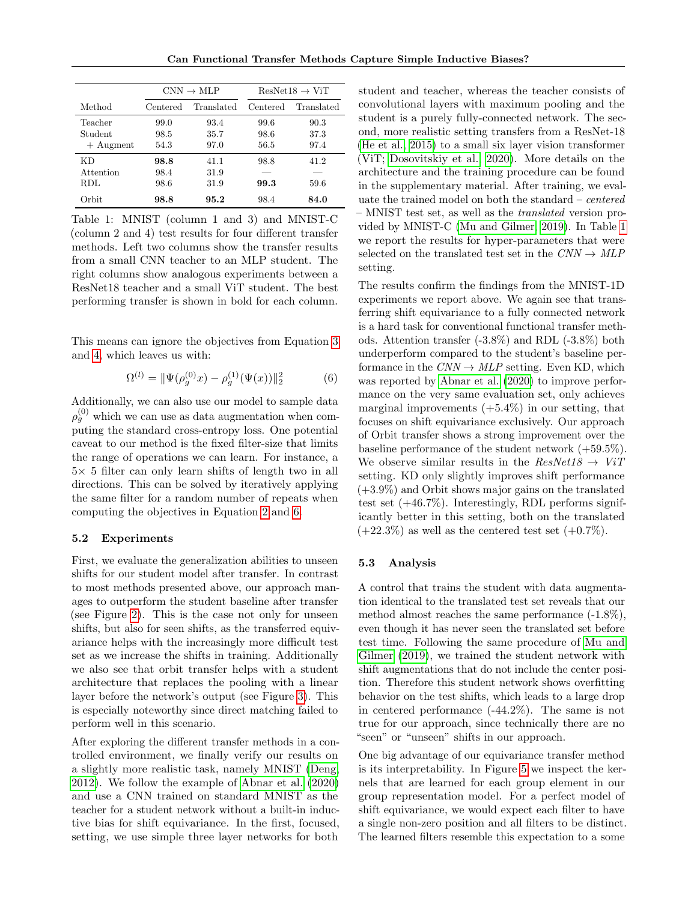<span id="page-7-1"></span>

|             | $CNN \rightarrow MLP$ |            | $ResNet18 \rightarrow ViT$ |            |
|-------------|-----------------------|------------|----------------------------|------------|
| Method      | Centered              | Translated | Centered                   | Translated |
| Teacher     | 99.0                  | 93.4       | 99.6                       | 90.3       |
| Student     | 98.5                  | 35.7       | 98.6                       | 37.3       |
| $+$ Augment | 54.3                  | 97.0       | 56.5                       | 97.4       |
| КD          | 98.8                  | 41.1       | 98.8                       | 41.2       |
| Attention   | 98.4                  | 31.9       |                            |            |
| RDL         | 98.6                  | 31.9       | 99.3                       | 59.6       |
| Orbit       | 98.8                  | 95.2       | 98.4                       | 84.0       |

Table 1: MNIST (column 1 and 3) and MNIST-C (column 2 and 4) test results for four different transfer methods. Left two columns show the transfer results from a small CNN teacher to an MLP student. The right columns show analogous experiments between a ResNet18 teacher and a small ViT student. The best performing transfer is shown in bold for each column.

This means can ignore the objectives from Equation [3](#page-6-1) and [4,](#page-6-2) which leaves us with:

$$
\Omega^{(l)} = \|\Psi(\rho_g^{(0)}x) - \rho_g^{(1)}(\Psi(x))\|_2^2 \tag{6}
$$

Additionally, we can also use our model to sample data  $\rho_g^{(0)}$  which we can use as data augmentation when computing the standard cross-entropy loss. One potential caveat to our method is the fixed filter-size that limits the range of operations we can learn. For instance, a  $5\times$  5 filter can only learn shifts of length two in all directions. This can be solved by iteratively applying the same filter for a random number of repeats when computing the objectives in Equation [2](#page-6-3) and [6.](#page-7-0)

### 5.2 Experiments

First, we evaluate the generalization abilities to unseen shifts for our student model after transfer. In contrast to most methods presented above, our approach manages to outperform the student baseline after transfer (see Figure [2\)](#page-4-1). This is the case not only for unseen shifts, but also for seen shifts, as the transferred equivariance helps with the increasingly more difficult test set as we increase the shifts in training. Additionally we also see that orbit transfer helps with a student architecture that replaces the pooling with a linear layer before the network's output (see Figure [3\)](#page-4-2). This is especially noteworthy since direct matching failed to perform well in this scenario.

After exploring the different transfer methods in a controlled environment, we finally verify our results on a slightly more realistic task, namely MNIST [\(Deng,](#page-9-14) [2012\)](#page-9-14). We follow the example of [Abnar et al.](#page-9-4) [\(2020\)](#page-9-4) and use a CNN trained on standard MNIST as the teacher for a student network without a built-in inductive bias for shift equivariance. In the first, focused, setting, we use simple three layer networks for both student and teacher, whereas the teacher consists of convolutional layers with maximum pooling and the student is a purely fully-connected network. The second, more realistic setting transfers from a ResNet-18 [\(He et al., 2015\)](#page-9-15) to a small six layer vision transformer (ViT; [Dosovitskiy et al., 2020\)](#page-9-16). More details on the architecture and the training procedure can be found in the supplementary material. After training, we evaluate the trained model on both the standard – centered – MNIST test set, as well as the translated version provided by MNIST-C [\(Mu and Gilmer, 2019\)](#page-10-11). In Table [1](#page-7-1) we report the results for hyper-parameters that were selected on the translated test set in the  $CNN \rightarrow MLP$ setting.

<span id="page-7-0"></span>The results confirm the findings from the MNIST-1D experiments we report above. We again see that transferring shift equivariance to a fully connected network is a hard task for conventional functional transfer methods. Attention transfer (-3.8%) and RDL (-3.8%) both underperform compared to the student's baseline performance in the  $CNN \rightarrow MLP$  setting. Even KD, which was reported by [Abnar et al.](#page-9-4) [\(2020\)](#page-9-4) to improve performance on the very same evaluation set, only achieves marginal improvements  $(+5.4\%)$  in our setting, that focuses on shift equivariance exclusively. Our approach of Orbit transfer shows a strong improvement over the baseline performance of the student network (+59.5%). We observe similar results in the  $ResNet18 \rightarrow ViT$ setting. KD only slightly improves shift performance (+3.9%) and Orbit shows major gains on the translated test set  $(+46.7\%)$ . Interestingly, RDL performs significantly better in this setting, both on the translated  $(+22.3\%)$  as well as the centered test set  $(+0.7\%).$ 

#### 5.3 Analysis

A control that trains the student with data augmentation identical to the translated test set reveals that our method almost reaches the same performance (-1.8%), even though it has never seen the translated set before test time. Following the same procedure of [Mu and](#page-10-11) [Gilmer](#page-10-11) [\(2019\)](#page-10-11), we trained the student network with shift augmentations that do not include the center position. Therefore this student network shows overfitting behavior on the test shifts, which leads to a large drop in centered performance (-44.2%). The same is not true for our approach, since technically there are no "seen" or "unseen" shifts in our approach.

One big advantage of our equivariance transfer method is its interpretability. In Figure [5](#page-8-0) we inspect the kernels that are learned for each group element in our group representation model. For a perfect model of shift equivariance, we would expect each filter to have a single non-zero position and all filters to be distinct. The learned filters resemble this expectation to a some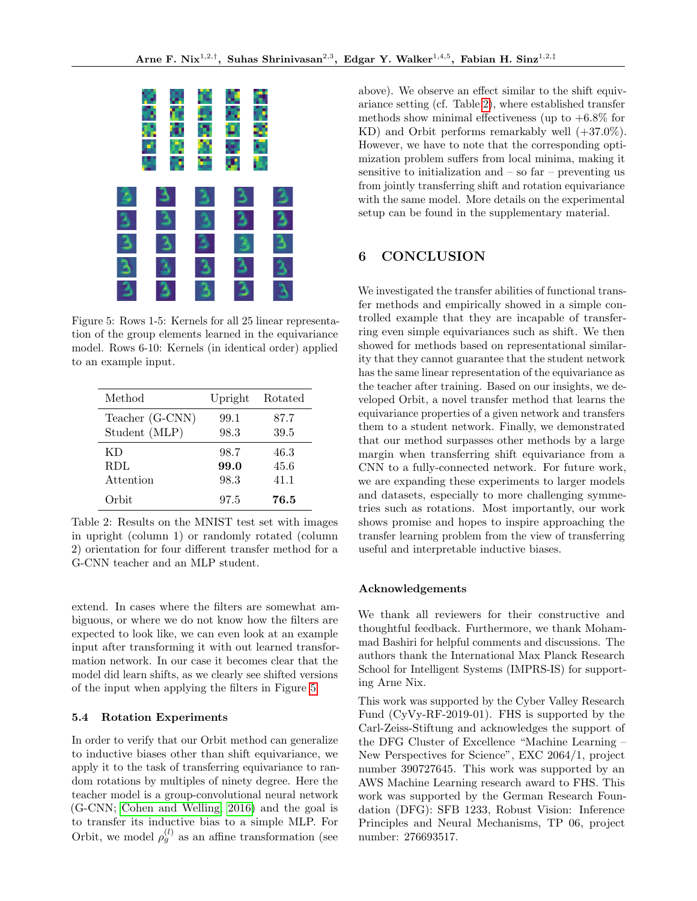<span id="page-8-0"></span>

Figure 5: Rows 1-5: Kernels for all 25 linear representation of the group elements learned in the equivariance model. Rows 6-10: Kernels (in identical order) applied to an example input.

<span id="page-8-1"></span>

| Method          | Upright | Rotated |
|-----------------|---------|---------|
| Teacher (G-CNN) | 99.1    | 87.7    |
| Student (MLP)   | 98.3    | 39.5    |
| КD              | 98.7    | 46.3    |
| <b>RDL</b>      | 99.0    | 45.6    |
| Attention       | 98.3    | 41.1    |
| Orbit           | 97.5    | 76.5    |

Table 2: Results on the MNIST test set with images in upright (column 1) or randomly rotated (column 2) orientation for four different transfer method for a G-CNN teacher and an MLP student.

extend. In cases where the filters are somewhat ambiguous, or where we do not know how the filters are expected to look like, we can even look at an example input after transforming it with out learned transformation network. In our case it becomes clear that the model did learn shifts, as we clearly see shifted versions of the input when applying the filters in Figure [5.](#page-8-0)

#### 5.4 Rotation Experiments

In order to verify that our Orbit method can generalize to inductive biases other than shift equivariance, we apply it to the task of transferring equivariance to random rotations by multiples of ninety degree. Here the teacher model is a group-convolutional neural network (G-CNN; [Cohen and Welling, 2016\)](#page-9-17) and the goal is to transfer its inductive bias to a simple MLP. For Orbit, we model  $\rho_g^{(l)}$  as an affine transformation (see

above). We observe an effect similar to the shift equivariance setting (cf. Table [2\)](#page-8-1), where established transfer methods show minimal effectiveness (up to  $+6.8\%$  for KD) and Orbit performs remarkably well (+37.0%). However, we have to note that the corresponding optimization problem suffers from local minima, making it sensitive to initialization and  $-$  so far  $-$  preventing us from jointly transferring shift and rotation equivariance with the same model. More details on the experimental setup can be found in the supplementary material.

# 6 CONCLUSION

We investigated the transfer abilities of functional transfer methods and empirically showed in a simple controlled example that they are incapable of transferring even simple equivariances such as shift. We then showed for methods based on representational similarity that they cannot guarantee that the student network has the same linear representation of the equivariance as the teacher after training. Based on our insights, we developed Orbit, a novel transfer method that learns the equivariance properties of a given network and transfers them to a student network. Finally, we demonstrated that our method surpasses other methods by a large margin when transferring shift equivariance from a CNN to a fully-connected network. For future work, we are expanding these experiments to larger models and datasets, especially to more challenging symmetries such as rotations. Most importantly, our work shows promise and hopes to inspire approaching the transfer learning problem from the view of transferring useful and interpretable inductive biases.

### Acknowledgements

We thank all reviewers for their constructive and thoughtful feedback. Furthermore, we thank Mohammad Bashiri for helpful comments and discussions. The authors thank the International Max Planck Research School for Intelligent Systems (IMPRS-IS) for supporting Arne Nix.

This work was supported by the Cyber Valley Research Fund (CyVy-RF-2019-01). FHS is supported by the Carl-Zeiss-Stiftung and acknowledges the support of the DFG Cluster of Excellence "Machine Learning – New Perspectives for Science", EXC 2064/1, project number 390727645. This work was supported by an AWS Machine Learning research award to FHS. This work was supported by the German Research Foundation (DFG): SFB 1233, Robust Vision: Inference Principles and Neural Mechanisms, TP 06, project number: 276693517.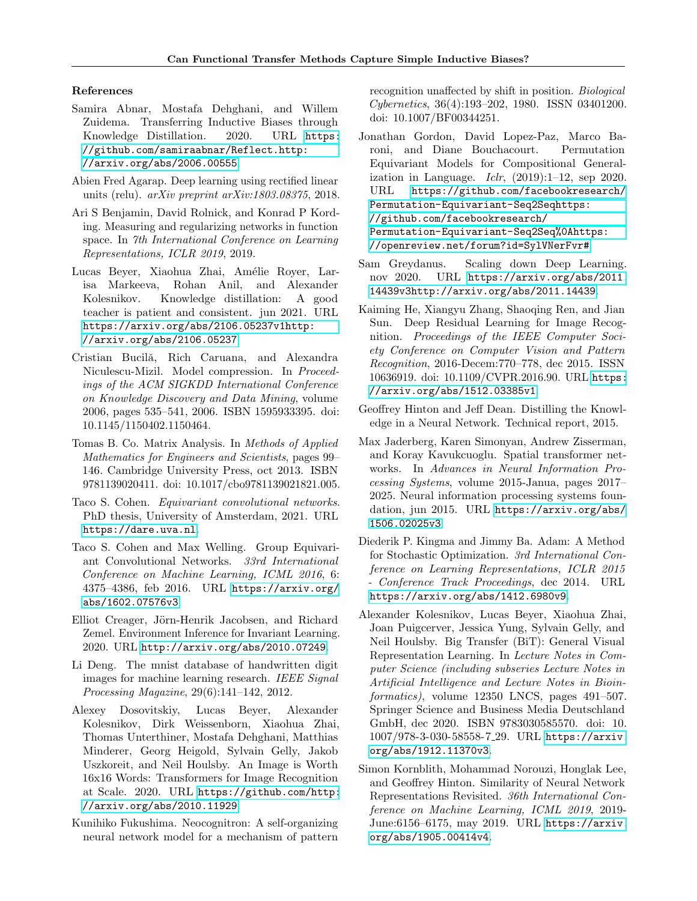#### References

- <span id="page-9-4"></span>Samira Abnar, Mostafa Dehghani, and Willem Zuidema. Transferring Inductive Biases through Knowledge Distillation. 2020. URL [https:](https://github.com/samiraabnar/Reflect. http://arxiv.org/abs/2006.00555) [//github.com/samiraabnar/Reflect.http:](https://github.com/samiraabnar/Reflect. http://arxiv.org/abs/2006.00555) [//arxiv.org/abs/2006.00555](https://github.com/samiraabnar/Reflect. http://arxiv.org/abs/2006.00555).
- <span id="page-9-18"></span>Abien Fred Agarap. Deep learning using rectified linear units (relu). arXiv preprint arXiv:1803.08375, 2018.
- <span id="page-9-3"></span>Ari S Benjamin, David Rolnick, and Konrad P Kording. Measuring and regularizing networks in function space. In 7th International Conference on Learning Representations, ICLR 2019, 2019.
- <span id="page-9-5"></span>Lucas Beyer, Xiaohua Zhai, Amélie Royer, Larisa Markeeva, Rohan Anil, and Alexander Kolesnikov. Knowledge distillation: A good teacher is patient and consistent. jun 2021. URL [https://arxiv.org/abs/2106.05237v1http:](https://arxiv.org/abs/2106.05237v1 http://arxiv.org/abs/2106.05237) [//arxiv.org/abs/2106.05237](https://arxiv.org/abs/2106.05237v1 http://arxiv.org/abs/2106.05237).
- <span id="page-9-2"></span>Cristian Bucilă, Rich Caruana, and Alexandra Niculescu-Mizil. Model compression. In Proceedings of the ACM SIGKDD International Conference on Knowledge Discovery and Data Mining, volume 2006, pages 535–541, 2006. ISBN 1595933395. doi: 10.1145/1150402.1150464.
- <span id="page-9-12"></span>Tomas B. Co. Matrix Analysis. In Methods of Applied Mathematics for Engineers and Scientists, pages 99– 146. Cambridge University Press, oct 2013. ISBN 9781139020411. doi: 10.1017/cbo9781139021821.005.
- <span id="page-9-9"></span>Taco S. Cohen. Equivariant convolutional networks. PhD thesis, University of Amsterdam, 2021. URL <https://dare.uva.nl>.
- <span id="page-9-17"></span>Taco S. Cohen and Max Welling. Group Equivariant Convolutional Networks. 33rd International Conference on Machine Learning, ICML 2016, 6: 4375–4386, feb 2016. URL [https://arxiv.org/](https://arxiv.org/abs/1602.07576v3) [abs/1602.07576v3](https://arxiv.org/abs/1602.07576v3).
- <span id="page-9-6"></span>Elliot Creager, Jörn-Henrik Jacobsen, and Richard Zemel. Environment Inference for Invariant Learning. 2020. URL <http://arxiv.org/abs/2010.07249>.
- <span id="page-9-14"></span>Li Deng. The mnist database of handwritten digit images for machine learning research. IEEE Signal Processing Magazine, 29(6):141–142, 2012.
- <span id="page-9-16"></span>Alexey Dosovitskiy, Lucas Beyer, Alexander Kolesnikov, Dirk Weissenborn, Xiaohua Zhai, Thomas Unterthiner, Mostafa Dehghani, Matthias Minderer, Georg Heigold, Sylvain Gelly, Jakob Uszkoreit, and Neil Houlsby. An Image is Worth 16x16 Words: Transformers for Image Recognition at Scale. 2020. URL [https://github.com/http:](https://github.com/ http://arxiv.org/abs/2010.11929) [//arxiv.org/abs/2010.11929](https://github.com/ http://arxiv.org/abs/2010.11929).
- <span id="page-9-7"></span>Kunihiko Fukushima. Neocognitron: A self-organizing neural network model for a mechanism of pattern

recognition unaffected by shift in position. Biological Cybernetics, 36(4):193–202, 1980. ISSN 03401200. doi: 10.1007/BF00344251.

- <span id="page-9-8"></span>Jonathan Gordon, David Lopez-Paz, Marco Baroni, and Diane Bouchacourt. Permutation Equivariant Models for Compositional Generalization in Language.  $Iclr$ ,  $(2019):1-12$ , sep 2020. URL [https://github.com/facebookresearch/](https://github.com/facebookresearch/Permutation-Equivariant-Seq2Seq https://github.com/facebookresearch/Permutation-Equivariant-Seq2Seq%0Ahttps://openreview.net/forum?id=SylVNerFvr#) [Permutation-Equivariant-Seq2Seqhttps:](https://github.com/facebookresearch/Permutation-Equivariant-Seq2Seq https://github.com/facebookresearch/Permutation-Equivariant-Seq2Seq%0Ahttps://openreview.net/forum?id=SylVNerFvr#) [//github.com/facebookresearch/](https://github.com/facebookresearch/Permutation-Equivariant-Seq2Seq https://github.com/facebookresearch/Permutation-Equivariant-Seq2Seq%0Ahttps://openreview.net/forum?id=SylVNerFvr#) [Permutation-Equivariant-Seq2Seq%0Ahttps:](https://github.com/facebookresearch/Permutation-Equivariant-Seq2Seq https://github.com/facebookresearch/Permutation-Equivariant-Seq2Seq%0Ahttps://openreview.net/forum?id=SylVNerFvr#) [//openreview.net/forum?id=SylVNerFvr#](https://github.com/facebookresearch/Permutation-Equivariant-Seq2Seq https://github.com/facebookresearch/Permutation-Equivariant-Seq2Seq%0Ahttps://openreview.net/forum?id=SylVNerFvr#).
- <span id="page-9-10"></span>Sam Greydanus. Scaling down Deep Learning. nov 2020. URL [https://arxiv.org/abs/2011.](https://arxiv.org/abs/2011.14439v3 http://arxiv.org/abs/2011.14439) [14439v3http://arxiv.org/abs/2011.14439](https://arxiv.org/abs/2011.14439v3 http://arxiv.org/abs/2011.14439).
- <span id="page-9-15"></span>Kaiming He, Xiangyu Zhang, Shaoqing Ren, and Jian Sun. Deep Residual Learning for Image Recognition. Proceedings of the IEEE Computer Society Conference on Computer Vision and Pattern Recognition, 2016-Decem:770–778, dec 2015. ISSN 10636919. doi: 10.1109/CVPR.2016.90. URL [https:](https://arxiv.org/abs/1512.03385v1) [//arxiv.org/abs/1512.03385v1](https://arxiv.org/abs/1512.03385v1).
- <span id="page-9-1"></span>Geoffrey Hinton and Jeff Dean. Distilling the Knowledge in a Neural Network. Technical report, 2015.
- <span id="page-9-13"></span>Max Jaderberg, Karen Simonyan, Andrew Zisserman, and Koray Kavukcuoglu. Spatial transformer networks. In Advances in Neural Information Processing Systems, volume 2015-Janua, pages 2017– 2025. Neural information processing systems foundation, jun 2015. URL [https://arxiv.org/abs/](https://arxiv.org/abs/1506.02025v3) [1506.02025v3](https://arxiv.org/abs/1506.02025v3).
- <span id="page-9-19"></span>Diederik P. Kingma and Jimmy Ba. Adam: A Method for Stochastic Optimization. 3rd International Conference on Learning Representations, ICLR 2015 - Conference Track Proceedings, dec 2014. URL <https://arxiv.org/abs/1412.6980v9>.
- <span id="page-9-0"></span>Alexander Kolesnikov, Lucas Beyer, Xiaohua Zhai, Joan Puigcerver, Jessica Yung, Sylvain Gelly, and Neil Houlsby. Big Transfer (BiT): General Visual Representation Learning. In Lecture Notes in Computer Science (including subseries Lecture Notes in Artificial Intelligence and Lecture Notes in Bioinformatics), volume 12350 LNCS, pages 491–507. Springer Science and Business Media Deutschland GmbH, dec 2020. ISBN 9783030585570. doi: 10. 1007/978-3-030-58558-7 29. URL [https://arxiv.](https://arxiv.org/abs/1912.11370v3) [org/abs/1912.11370v3](https://arxiv.org/abs/1912.11370v3).
- <span id="page-9-11"></span>Simon Kornblith, Mohammad Norouzi, Honglak Lee, and Geoffrey Hinton. Similarity of Neural Network Representations Revisited. 36th International Conference on Machine Learning, ICML 2019, 2019- June:6156–6175, may 2019. URL [https://arxiv.](https://arxiv.org/abs/1905.00414v4) [org/abs/1905.00414v4](https://arxiv.org/abs/1905.00414v4).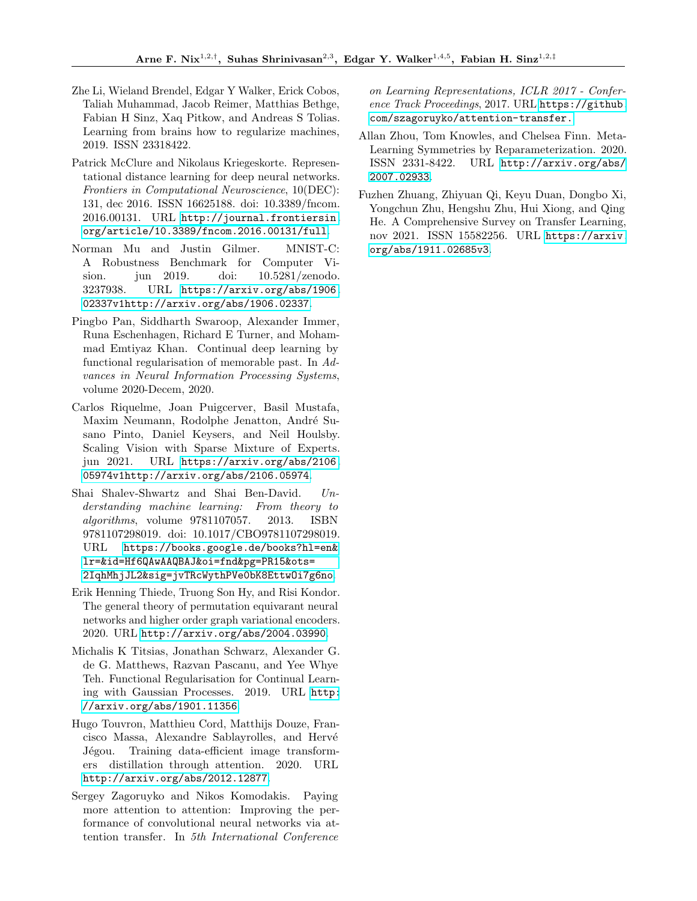- <span id="page-10-4"></span>Zhe Li, Wieland Brendel, Edgar Y Walker, Erick Cobos, Taliah Muhammad, Jacob Reimer, Matthias Bethge, Fabian H Sinz, Xaq Pitkow, and Andreas S Tolias. Learning from brains how to regularize machines, 2019. ISSN 23318422.
- <span id="page-10-5"></span>Patrick McClure and Nikolaus Kriegeskorte. Representational distance learning for deep neural networks. Frontiers in Computational Neuroscience, 10(DEC): 131, dec 2016. ISSN 16625188. doi: 10.3389/fncom. 2016.00131. URL [http://journal.frontiersin.](http://journal.frontiersin.org/article/10.3389/fncom.2016.00131/full) [org/article/10.3389/fncom.2016.00131/full](http://journal.frontiersin.org/article/10.3389/fncom.2016.00131/full).
- <span id="page-10-11"></span>Norman Mu and Justin Gilmer. MNIST-C: A Robustness Benchmark for Computer Vision. jun 2019. doi: 10.5281/zenodo. 3237938. URL [https://arxiv.org/abs/1906.](https://arxiv.org/abs/1906.02337v1 http://arxiv.org/abs/1906.02337) [02337v1http://arxiv.org/abs/1906.02337](https://arxiv.org/abs/1906.02337v1 http://arxiv.org/abs/1906.02337).
- <span id="page-10-2"></span>Pingbo Pan, Siddharth Swaroop, Alexander Immer, Runa Eschenhagen, Richard E Turner, and Mohammad Emtiyaz Khan. Continual deep learning by functional regularisation of memorable past. In Advances in Neural Information Processing Systems, volume 2020-Decem, 2020.
- <span id="page-10-0"></span>Carlos Riquelme, Joan Puigcerver, Basil Mustafa, Maxim Neumann, Rodolphe Jenatton, André Susano Pinto, Daniel Keysers, and Neil Houlsby. Scaling Vision with Sparse Mixture of Experts. jun 2021. URL [https://arxiv.org/abs/2106.](https://arxiv.org/abs/2106.05974v1 http://arxiv.org/abs/2106.05974) [05974v1http://arxiv.org/abs/2106.05974](https://arxiv.org/abs/2106.05974v1 http://arxiv.org/abs/2106.05974).
- <span id="page-10-8"></span>Shai Shalev-Shwartz and Shai Ben-David. Understanding machine learning: From theory to algorithms, volume 9781107057. 2013. ISBN 9781107298019. doi: 10.1017/CBO9781107298019. URL [https://books.google.de/books?hl=en&](https://books.google.de/books?hl=en&lr=&id=Hf6QAwAAQBAJ&oi=fnd&pg=PR15&ots=2IqhMhjJL2&sig=jvTRcWythPVe0bK8EttwOi7g6no) [lr=&id=Hf6QAwAAQBAJ&oi=fnd&pg=PR15&ots=](https://books.google.de/books?hl=en&lr=&id=Hf6QAwAAQBAJ&oi=fnd&pg=PR15&ots=2IqhMhjJL2&sig=jvTRcWythPVe0bK8EttwOi7g6no) [2IqhMhjJL2&sig=jvTRcWythPVe0bK8EttwOi7g6no](https://books.google.de/books?hl=en&lr=&id=Hf6QAwAAQBAJ&oi=fnd&pg=PR15&ots=2IqhMhjJL2&sig=jvTRcWythPVe0bK8EttwOi7g6no).
- <span id="page-10-9"></span>Erik Henning Thiede, Truong Son Hy, and Risi Kondor. The general theory of permutation equivarant neural networks and higher order graph variational encoders. 2020. URL <http://arxiv.org/abs/2004.03990>.
- <span id="page-10-3"></span>Michalis K Titsias, Jonathan Schwarz, Alexander G. de G. Matthews, Razvan Pascanu, and Yee Whye Teh. Functional Regularisation for Continual Learning with Gaussian Processes. 2019. URL [http:](http://arxiv.org/abs/1901.11356) [//arxiv.org/abs/1901.11356](http://arxiv.org/abs/1901.11356).
- <span id="page-10-6"></span>Hugo Touvron, Matthieu Cord, Matthijs Douze, Francisco Massa, Alexandre Sablayrolles, and Hervé Jégou. Training data-efficient image transformers distillation through attention. 2020. URL <http://arxiv.org/abs/2012.12877>.
- <span id="page-10-10"></span>Sergey Zagoruyko and Nikos Komodakis. Paying more attention to attention: Improving the performance of convolutional neural networks via attention transfer. In 5th International Conference

on Learning Representations, ICLR 2017 - Conference Track Proceedings, 2017. URL [https://github.](https://github.com/szagoruyko/attention-transfer.) [com/szagoruyko/attention-transfer.](https://github.com/szagoruyko/attention-transfer.)

- <span id="page-10-7"></span>Allan Zhou, Tom Knowles, and Chelsea Finn. Meta-Learning Symmetries by Reparameterization. 2020. ISSN 2331-8422. URL [http://arxiv.org/abs/](http://arxiv.org/abs/2007.02933) [2007.02933](http://arxiv.org/abs/2007.02933).
- <span id="page-10-1"></span>Fuzhen Zhuang, Zhiyuan Qi, Keyu Duan, Dongbo Xi, Yongchun Zhu, Hengshu Zhu, Hui Xiong, and Qing He. A Comprehensive Survey on Transfer Learning, nov 2021. ISSN 15582256. URL [https://arxiv.](https://arxiv.org/abs/1911.02685v3) [org/abs/1911.02685v3](https://arxiv.org/abs/1911.02685v3).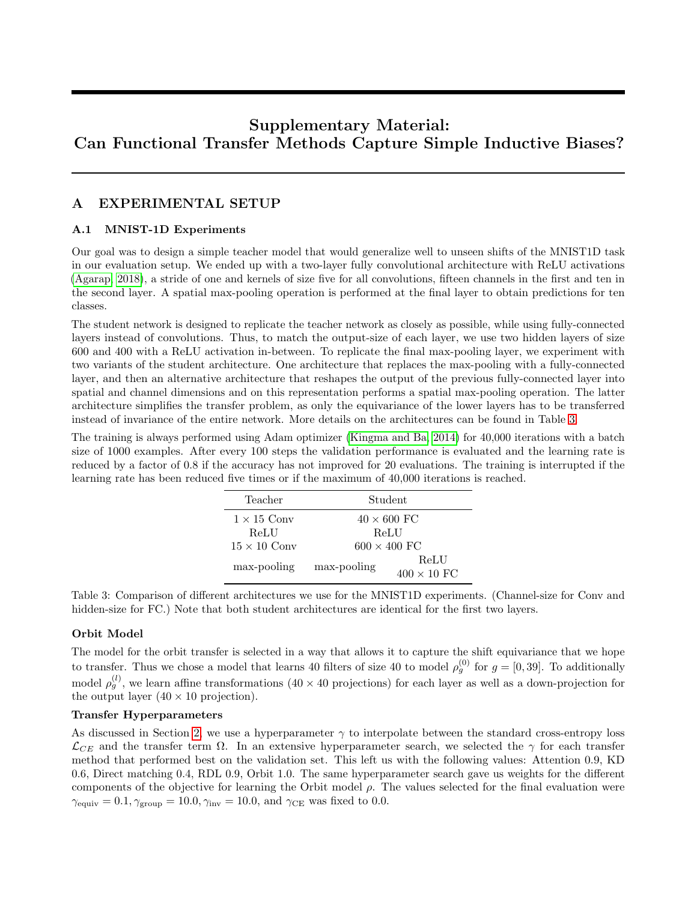# Supplementary Material: Can Functional Transfer Methods Capture Simple Inductive Biases?

# A EXPERIMENTAL SETUP

# A.1 MNIST-1D Experiments

Our goal was to design a simple teacher model that would generalize well to unseen shifts of the MNIST1D task in our evaluation setup. We ended up with a two-layer fully convolutional architecture with ReLU activations [\(Agarap, 2018\)](#page-9-18), a stride of one and kernels of size five for all convolutions, fifteen channels in the first and ten in the second layer. A spatial max-pooling operation is performed at the final layer to obtain predictions for ten classes.

The student network is designed to replicate the teacher network as closely as possible, while using fully-connected layers instead of convolutions. Thus, to match the output-size of each layer, we use two hidden layers of size 600 and 400 with a ReLU activation in-between. To replicate the final max-pooling layer, we experiment with two variants of the student architecture. One architecture that replaces the max-pooling with a fully-connected layer, and then an alternative architecture that reshapes the output of the previous fully-connected layer into spatial and channel dimensions and on this representation performs a spatial max-pooling operation. The latter architecture simplifies the transfer problem, as only the equivariance of the lower layers has to be transferred instead of invariance of the entire network. More details on the architectures can be found in Table [3.](#page-11-0)

<span id="page-11-0"></span>The training is always performed using Adam optimizer [\(Kingma and Ba, 2014\)](#page-9-19) for 40,000 iterations with a batch size of 1000 examples. After every 100 steps the validation performance is evaluated and the learning rate is reduced by a factor of 0.8 if the accuracy has not improved for 20 evaluations. The training is interrupted if the learning rate has been reduced five times or if the maximum of 40,000 iterations is reached.

| Teacher             | Student             |                            |  |
|---------------------|---------------------|----------------------------|--|
| $1 \times 15$ Conv  | $40 \times 600$ FC  |                            |  |
| ReLU                | ReLU                |                            |  |
| $15 \times 10$ Conv | $600 \times 400$ FC |                            |  |
| max-pooling         | max-pooling         | ReLU<br>$400 \times 10$ FC |  |

Table 3: Comparison of different architectures we use for the MNIST1D experiments. (Channel-size for Conv and hidden-size for FC.) Note that both student architectures are identical for the first two layers.

### Orbit Model

The model for the orbit transfer is selected in a way that allows it to capture the shift equivariance that we hope to transfer. Thus we chose a model that learns 40 filters of size 40 to model  $\rho_g^{(0)}$  for  $g = [0, 39]$ . To additionally model  $\rho_g^{(l)}$ , we learn affine transformations  $(40 \times 40 \text{ projections})$  for each layer as well as a down-projection for the output layer  $(40 \times 10)$  projection).

### Transfer Hyperparameters

As discussed in Section [2,](#page-1-0) we use a hyperparameter  $\gamma$  to interpolate between the standard cross-entropy loss  $\mathcal{L}_{CE}$  and the transfer term  $\Omega$ . In an extensive hyperparameter search, we selected the  $\gamma$  for each transfer method that performed best on the validation set. This left us with the following values: Attention 0.9, KD 0.6, Direct matching 0.4, RDL 0.9, Orbit 1.0. The same hyperparameter search gave us weights for the different components of the objective for learning the Orbit model  $\rho$ . The values selected for the final evaluation were  $\gamma_{\text{equiv}} = 0.1, \gamma_{\text{group}} = 10.0, \gamma_{\text{inv}} = 10.0, \text{ and } \gamma_{\text{CE}}$  was fixed to 0.0.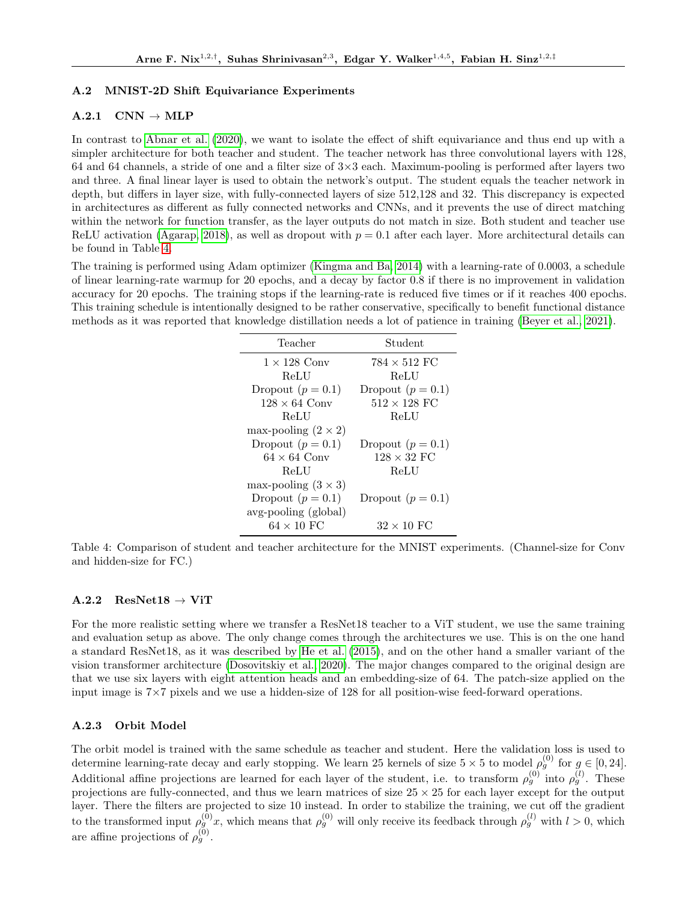# A.2 MNIST-2D Shift Equivariance Experiments

# $A.2.1$  CNN  $\rightarrow$  MLP

In contrast to [Abnar et al.](#page-9-4) [\(2020\)](#page-9-4), we want to isolate the effect of shift equivariance and thus end up with a simpler architecture for both teacher and student. The teacher network has three convolutional layers with 128, 64 and 64 channels, a stride of one and a filter size of  $3\times3$  each. Maximum-pooling is performed after layers two and three. A final linear layer is used to obtain the network's output. The student equals the teacher network in depth, but differs in layer size, with fully-connected layers of size 512,128 and 32. This discrepancy is expected in architectures as different as fully connected networks and CNNs, and it prevents the use of direct matching within the network for function transfer, as the layer outputs do not match in size. Both student and teacher use ReLU activation [\(Agarap, 2018\)](#page-9-18), as well as dropout with  $p = 0.1$  after each layer. More architectural details can be found in Table [4.](#page-12-0)

<span id="page-12-0"></span>The training is performed using Adam optimizer [\(Kingma and Ba, 2014\)](#page-9-19) with a learning-rate of 0.0003, a schedule of linear learning-rate warmup for 20 epochs, and a decay by factor 0.8 if there is no improvement in validation accuracy for 20 epochs. The training stops if the learning-rate is reduced five times or if it reaches 400 epochs. This training schedule is intentionally designed to be rather conservative, specifically to benefit functional distance methods as it was reported that knowledge distillation needs a lot of patience in training [\(Beyer et al., 2021\)](#page-9-5).

| Teacher                    | Student             |
|----------------------------|---------------------|
| $1 \times 128$ Conv        | $784 \times 512$ FC |
| ReLU                       | ReLU                |
| Dropout $(p = 0.1)$        | Dropout $(p = 0.1)$ |
| $128 \times 64$ Conv       | $512 \times 128$ FC |
| ReLU                       | ReLU                |
| max-pooling $(2 \times 2)$ |                     |
| Dropout $(p = 0.1)$        | Dropout $(p = 0.1)$ |
| $64 \times 64$ Conv        | $128 \times 32$ FC  |
| ReLU                       | ReLU                |
| max-pooling $(3 \times 3)$ |                     |
| Dropout $(p = 0.1)$        | Dropout $(p = 0.1)$ |
| avg-pooling (global)       |                     |
| $64 \times 10$ FC          | $32 \times 10$ FC   |

Table 4: Comparison of student and teacher architecture for the MNIST experiments. (Channel-size for Conv and hidden-size for FC.)

### $A.2.2$  ResNet18  $\rightarrow$  ViT

For the more realistic setting where we transfer a ResNet18 teacher to a ViT student, we use the same training and evaluation setup as above. The only change comes through the architectures we use. This is on the one hand a standard ResNet18, as it was described by [He et al.](#page-9-15) [\(2015\)](#page-9-15), and on the other hand a smaller variant of the vision transformer architecture [\(Dosovitskiy et al., 2020\)](#page-9-16). The major changes compared to the original design are that we use six layers with eight attention heads and an embedding-size of 64. The patch-size applied on the input image is 7×7 pixels and we use a hidden-size of 128 for all position-wise feed-forward operations.

### A.2.3 Orbit Model

The orbit model is trained with the same schedule as teacher and student. Here the validation loss is used to determine learning-rate decay and early stopping. We learn 25 kernels of size  $5 \times 5$  to model  $\rho_g^{(0)}$  for  $g \in [0, 24]$ . Additional affine projections are learned for each layer of the student, i.e. to transform  $\rho_g^{(0)}$  into  $\rho_g^{(l)}$ . These projections are fully-connected, and thus we learn matrices of size  $25 \times 25$  for each layer except for the output layer. There the filters are projected to size 10 instead. In order to stabilize the training, we cut off the gradient to the transformed input  $\rho_g^{(0)}x$ , which means that  $\rho_g^{(0)}$  will only receive its feedback through  $\rho_g^{(l)}$  with  $l > 0$ , which are affine projections of  $\rho_g^{(0)}$ .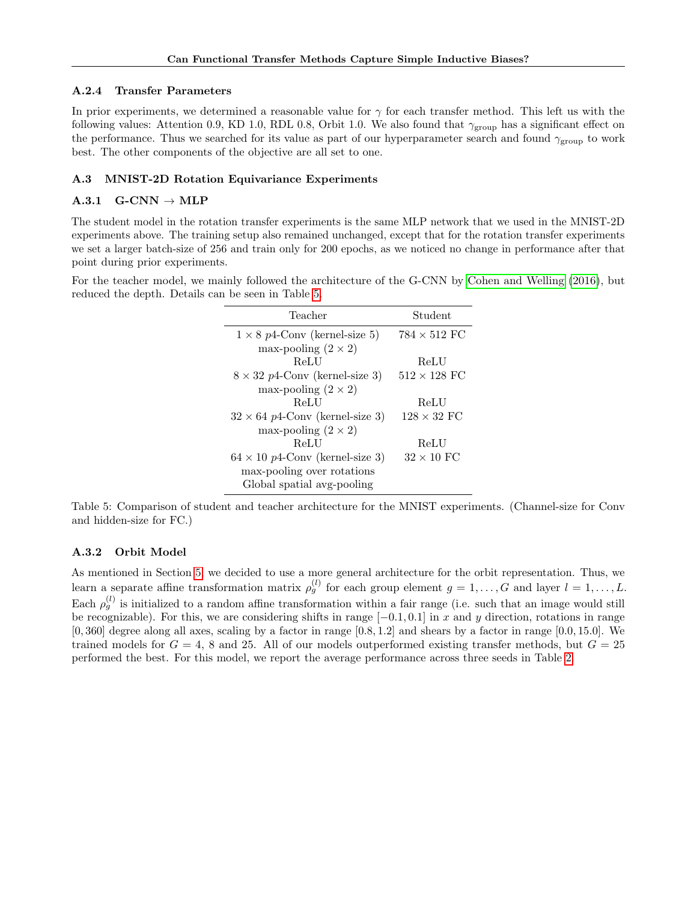#### A.2.4 Transfer Parameters

In prior experiments, we determined a reasonable value for  $\gamma$  for each transfer method. This left us with the following values: Attention 0.9, KD 1.0, RDL 0.8, Orbit 1.0. We also found that  $\gamma_{\rm group}$  has a significant effect on the performance. Thus we searched for its value as part of our hyperparameter search and found  $\gamma_{\text{group}}$  to work best. The other components of the objective are all set to one.

#### A.3 MNIST-2D Rotation Equivariance Experiments

#### $A.3.1$  G-CNN  $\rightarrow$  MLP

The student model in the rotation transfer experiments is the same MLP network that we used in the MNIST-2D experiments above. The training setup also remained unchanged, except that for the rotation transfer experiments we set a larger batch-size of 256 and train only for 200 epochs, as we noticed no change in performance after that point during prior experiments.

<span id="page-13-0"></span>For the teacher model, we mainly followed the architecture of the G-CNN by [Cohen and Welling](#page-9-17) [\(2016\)](#page-9-17), but reduced the depth. Details can be seen in Table [5.](#page-13-0)

| Teacher                                | Student             |
|----------------------------------------|---------------------|
| $1 \times 8$ p4-Conv (kernel-size 5)   | $784 \times 512$ FC |
| max-pooling $(2 \times 2)$             |                     |
| ReLU                                   | ReLU                |
| $8 \times 32$ p4-Conv (kernel-size 3)  | $512 \times 128$ FC |
| max-pooling $(2 \times 2)$             |                     |
| ReLU                                   | ReLU                |
| $32 \times 64$ p4-Conv (kernel-size 3) | $128 \times 32$ FC  |
| max-pooling $(2 \times 2)$             |                     |
| ReLU                                   | ReLU                |
| $64 \times 10$ p4-Conv (kernel-size 3) | $32 \times 10$ FC   |
| max-pooling over rotations             |                     |
| Global spatial avg-pooling             |                     |

Table 5: Comparison of student and teacher architecture for the MNIST experiments. (Channel-size for Conv and hidden-size for FC.)

### A.3.2 Orbit Model

As mentioned in Section [5,](#page-5-0) we decided to use a more general architecture for the orbit representation. Thus, we learn a separate affine transformation matrix  $\rho_g^{(l)}$  for each group element  $g=1,\ldots,G$  and layer  $l=1,\ldots,L$ . Each  $\rho_g^{(l)}$  is initialized to a random affine transformation within a fair range (i.e. such that an image would still be recognizable). For this, we are considering shifts in range  $[-0.1, 0.1]$  in x and y direction, rotations in range  $[0, 360]$  degree along all axes, scaling by a factor in range  $[0.8, 1.2]$  and shears by a factor in range  $[0.0, 15.0]$ . We trained models for  $G = 4$ , 8 and 25. All of our models outperformed existing transfer methods, but  $G = 25$ performed the best. For this model, we report the average performance across three seeds in Table [2.](#page-8-1)